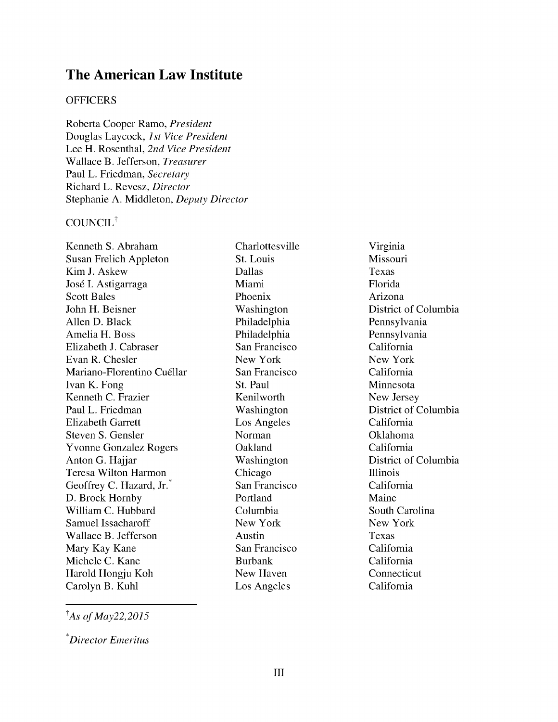# **The American Law Institute**

#### **OFFICERS**

Roberta Cooper Ramo, *President* Douglas Laycock, *1st Vice President* Lee H. Rosenthal, *2nd Vice President* Wallace B. Jefferson, *Treasurer* Paul L. Friedman, *Secretary* Richard L. Revesz, *Director* Stephanie **A.** Middleton, *Deputy Director*

## COUNCIL<sup>†</sup>

Kenneth S. Abraham Susan Frelich Appleton Kim J. Askew José I. Astigarraga Scott Bales John H. Beisner Allen D. Black Amelia H. Boss Elizabeth J. Cabraser Evan R. Chesler Mariano-Florentino Cuéllar Ivan K. Fong Kenneth C. Frazier Paul L. Friedman Elizabeth Garrett Steven S. Gensler Yvonne Gonzalez Rogers Anton G. Hajjar Teresa Wilton Harmon Geoffrey C. Hazard, Jr.<sup>\*</sup> D. Brock Hornby William C. Hubbard Samuel Issacharoff Wallace B. Jefferson Mary Kay Kane Michele C. Kane Harold Hongju Koh Carolyn B. Kuhl

Charlottesville St. Louis Dallas Miami Phoenix Washington Philadelphia Philadelphia San Francisco New York San Francisco St. Paul Kenilworth Washington Los Angeles Norman Oakland Washington Chicago San Francisco Portland Columbia New York Austin San Francisco Burbank New Haven Los Angeles

Virginia Missouri Texas Florida Arizona District of Columbia Pennsylvania Pennsylvania California New York California Minnesota New Jersey District of Columbia California Oklahoma California District of Columbia Illinois California Maine South Carolina New York Texas California California Connecticut California

*tAs of May22,2015*

*Director Emeritus*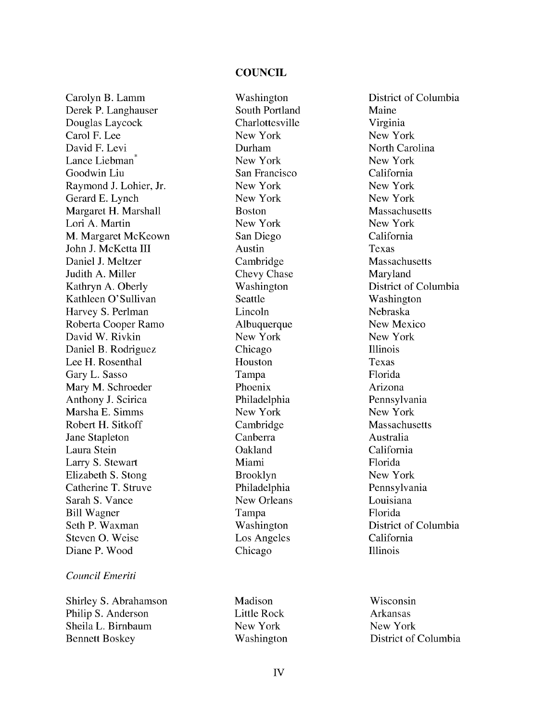#### **COUNCIL**

Carolyn B. Lamm Derek P. Langhauser Douglas Laycock Carol F. Lee David F. Levi Lance Liebman<sup>\*</sup> Goodwin Liu Raymond J. Lohier, Jr. Gerard E. Lynch Margaret H. Marshall Lori A. Martin M. Margaret McKeown John J. McKetta III Daniel J. Meltzer Judith A. Miller Kathryn A. Oberly Kathleen O'Sullivan Harvey S. Perlman Roberta Cooper Ramo David W. Rivkin Daniel B. Rodriguez Lee H. Rosenthal Gary L. Sasso Mary M. Schroeder Anthony J. Scirica Marsha E. Simms Robert H. Sitkoff Jane Stapleton Laura Stein Larry S. Stewart Elizabeth S. Stong Catherine T. Struve Sarah S. Vance Bill Wagner Seth P. Waxman Steven **0.** Weise Diane P. Wood

#### *Council Emeriti*

Shirley S. Abrahamson Philip S. Anderson Sheila L. Birnbaum Bennett Boskey

Washington South Portland Charlottesville New York Durham New York San Francisco New York New York Boston New York San Diego Austin Cambridge Chevy Chase Washington Seattle Lincoln Albuquerque New York Chicago Houston Tampa Phoenix Philadelphia New York Cambridge Canberra Oakland Miami Brooklyn Philadelphia New Orleans Tampa Washington Los Angeles Chicago

Madison Little Rock New York Washington District of Columbia Maine Virginia New York North Carolina New York California New York New York Massachusetts New York California Texas Massachusetts Maryland District of Columbia Washington Nebraska New Mexico New York Illinois Texas Florida Arizona Pennsylvania New York Massachusetts Australia California Florida New York Pennsylvania Louisiana Florida District of Columbia California Illinois

Wisconsin Arkansas New York District of Columbia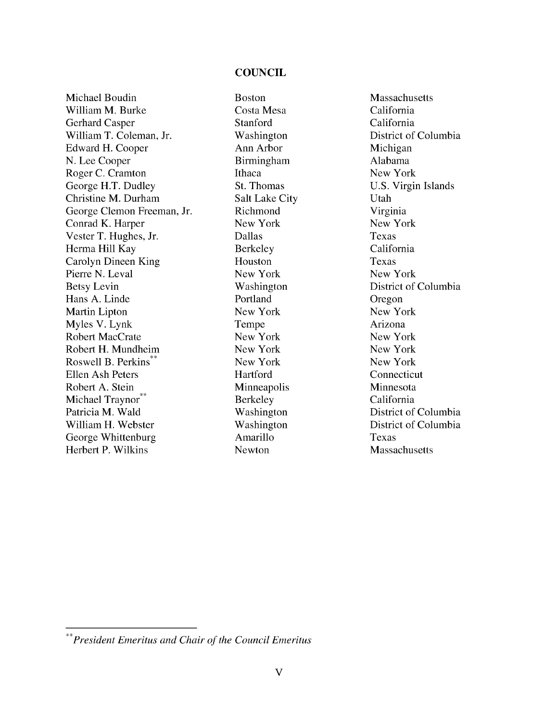#### **COUNCIL**

Michael Boudin William M. Burke Gerhard Casper William T. Coleman, Jr. Edward H. Cooper N. Lee Cooper Roger C. Cramton George H.T. Dudley Christine M. Durham George Clemon Freeman, Jr. Conrad K. Harper Vester T. Hughes, Jr. Herma Hill Kay Carolyn Dineen King Pierre N. Leval Betsy Levin Hans A. Linde Martin Lipton Myles V. Lynk Robert MacCrate Robert H. Mundheim Roswell B. Perkins\*\* Ellen Ash Peters Robert A. Stein Michael Traynor\*\* Patricia M. Wald William H. Webster George Whittenburg Herbert P. Wilkins

Boston Costa Mesa Stanford Washington Ann Arbor Birmingham Ithaca St. Thomas Salt Lake City Richmond New York Dallas Berkeley Houston New York Washington Portland New York Tempe New York New York New York Hartford Minneapolis Berkeley Washington Washington Amarillo Newton

**Massachusetts** California California District of Columbia Michigan Alabama New York U.S. Virgin Islands Utah Virginia New York Texas California Texas New York District of Columbia Oregon New York Arizona New York New York New York Connecticut Minnesota California District of Columbia District of Columbia Texas **Massachusetts** 

*<sup>\*\*</sup>President Emeritus and Chair of the Council Emeritus*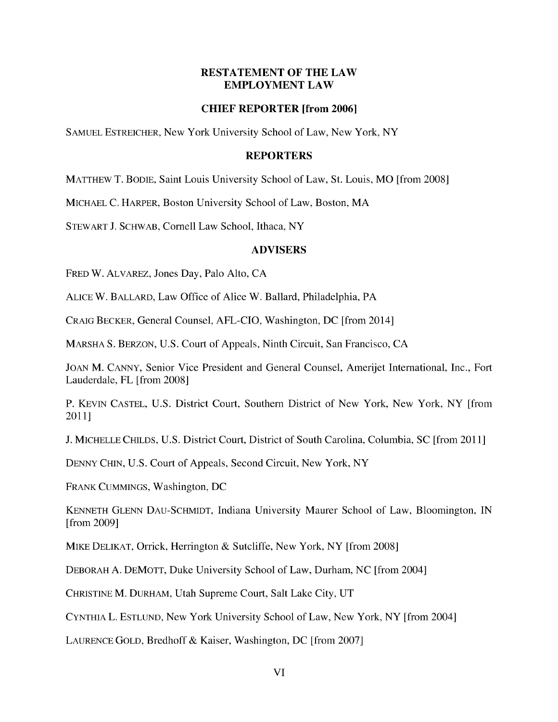## **RESTATEMENT OF THE LAW EMPLOYMENT LAW**

## **CHIEF REPORTER [from 2006]**

SAMUEL ESTREICHER, New York University School of Law, New York, NY

#### **REPORTERS**

MATTHEW T. BODIE, Saint Louis University School of Law, St. Louis, MO [from 2008]

MICHAEL C. HARPER, Boston University School of Law, Boston, MA

STEWART J. SCHWAB, Cornell Law School, Ithaca, NY

## **ADVISERS**

FRED W. ALVAREZ, Jones Day, Palo Alto, CA

ALICE W. BALLARD, Law Office of Alice W. Ballard, Philadelphia, PA

CRAIG BECKER, General Counsel, AFL-CIO, Washington, DC [from 2014]

MARSHA S. BERZON, U.S. Court of Appeals, Ninth Circuit, San Francisco, CA

JOAN M. CANNY, Senior Vice President and General Counsel, Amerijet International, Inc., Fort Lauderdale, FL [from 2008]

P. KEVIN CASTEL, U.S. District Court, Southern District of New York, New York, NY [from 2011]

J. MICHELLE CHILDS, U.S. District Court, District of South Carolina, Columbia, SC [from 2011]

DENNY CHIN, U.S. Court of Appeals, Second Circuit, New York, NY

FRANK CUMMINGS, Washington, DC

KENNETH GLENN DAU-SCHMIDT, Indiana University Maurer School of Law, Bloomington, IN [from 2009]

MIKE DELIKAT, Orrick, Herrington & Sutcliffe, New York, NY [from 2008]

DEBORAH A. DEMOTT, Duke University School of Law, Durham, NC [from 2004]

CHRISTINE M. DURHAM, Utah Supreme Court, Salt Lake City, UT

CYNTHIA L. ESTLUND, New York University School of Law, New York, NY [from 2004]

LAURENCE GOLD, Bredhoff & Kaiser, Washington, DC [from 2007]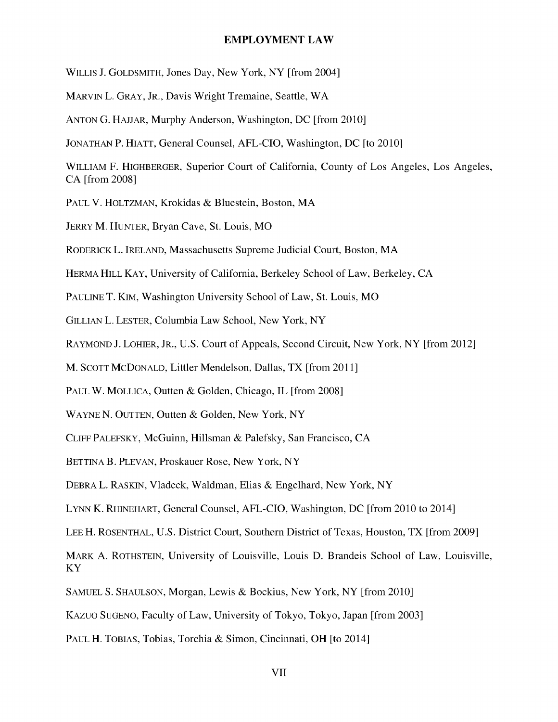#### **EMPLOYMENT LAW**

WILLIS J. GOLDSMITH, Jones Day, New York, NY [from 2004]

MARVIN L. GRAY, JR., Davis Wright Tremaine, Seattle, WA

ANTON G. HAJJAR, Murphy Anderson, Washington, DC [from 2010]

JONATHAN P. HIATT, General Counsel, AFL-CIO, Washington, DC [to 2010]

WILLIAM F. HIGHBERGER, Superior Court of California, County of Los Angeles, Los Angeles, CA [from 2008]

PAUL V. HOLTZMAN, Krokidas & Bluestein, Boston, MA

JERRY M. HUNTER, Bryan Cave, St. Louis, MO

RODERICK L. IRELAND, Massachusetts Supreme Judicial Court, Boston, MA

HERMA HILL KAY, University of California, Berkeley School of Law, Berkeley, CA

PAULINE T. KIM, Washington University School of Law, St. Louis, MO

GILLIAN L. LESTER, Columbia Law School, New York, NY

RAYMOND J. LOHIER, JR., U.S. Court of Appeals, Second Circuit, New York, NY [from 2012]

M. SCOTT MCDONALD, Littler Mendelson, Dallas, TX [from 2011]

PAUL W. MOLLICA, Outten & Golden, Chicago, IL [from 2008]

WAYNE N. OUTTEN, Outten & Golden, New York, NY

CLIFF PALEFSKY, McGuinn, Hillsman & Palefsky, San Francisco, CA

BETTINA B. PLEVAN, Proskauer Rose, New York, NY

DEBRA L. RASKIN, Vladeck, Waldman, Elias & Engelhard, New York, NY

LYNN K. RHINEHART, General Counsel, AFL-CIO, Washington, DC [from 2010 to 2014]

LEE H. ROSENTHAL, U.S. District Court, Southern District of Texas, Houston, TX [from 2009]

MARK A. ROTHSTEIN, University of Louisville, Louis D. Brandeis School of Law, Louisville, KY

SAMUEL S. SHAULSON, Morgan, Lewis & Bockius, New York, NY [from 2010]

KAZUO SUGENO, Faculty of Law, University of Tokyo, Tokyo, Japan [from 2003]

PAUL H. TOBIAS, Tobias, Torchia & Simon, Cincinnati, OH [to 2014]